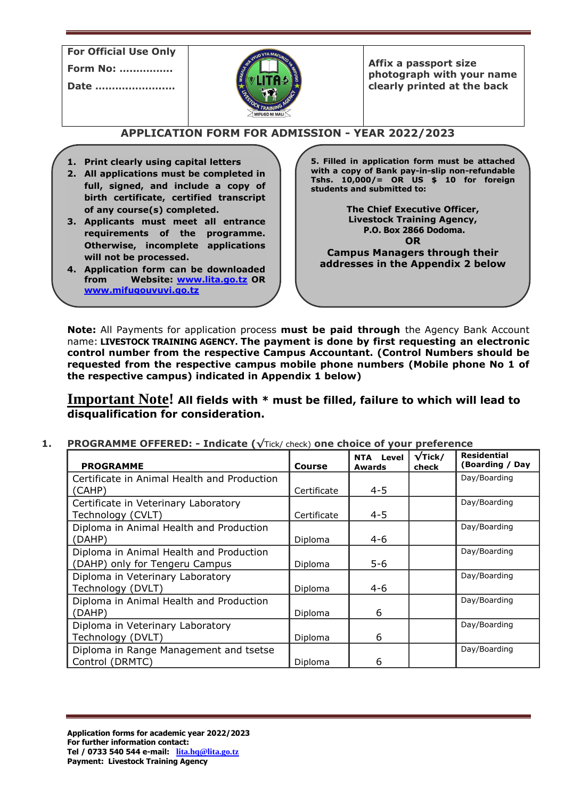**For Official Use Only**

**Form No: …..………..**

**Date ……….………..…**



**Affix a passport size photograph with your name clearly printed at the back**

# **APPLICATION FORM FOR ADMISSION - YEAR 2022/2023**

- **1. Print clearly using capital letters**
- **2. All applications must be completed in full, signed, and include a copy of birth certificate, certified transcript of any course(s) completed.**
- **3. Applicants must meet all entrance requirements of the programme. Otherwise, incomplete applications will not be processed.**
- **4. Application form can be downloaded from Website: [www.lita.go.tz](http://www.lita.go.tz/) OR [www.mifugouvuvi.go.tz](http://www.mifugouvuvi.go.tz/)**

**5. Filled in application form must be attached with a copy of Bank pay-in-slip non-refundable Tshs. 10,000/= OR US \$ 10 for foreign students and submitted to:**

> **The Chief Executive Officer, Livestock Training Agency, P.O. Box 2866 Dodoma. OR**

**Campus Managers through their addresses in the Appendix 2 below**

**Note:** All Payments for application process **must be paid through** the Agency Bank Account name: **LIVESTOCK TRAINING AGENCY. The payment is done by first requesting an electronic control number from the respective Campus Accountant. (Control Numbers should be requested from the respective campus mobile phone numbers (Mobile phone No 1 of the respective campus) indicated in Appendix 1 below)**

**Important Note! All fields with \* must be filled, failure to which will lead to disqualification for consideration.**

**1. PROGRAMME OFFERED: - Indicate (√**Tick/ check) **one choice of your preference** 

| <b>PROGRAMME</b>                            | <b>Course</b> | <b>NTA Level</b><br>Awards | $\sqrt{\textsf{Tick}}/$<br>check | <b>Residential</b><br>Boarding / Day) |
|---------------------------------------------|---------------|----------------------------|----------------------------------|---------------------------------------|
| Certificate in Animal Health and Production |               |                            |                                  | Day/Boarding                          |
| (CAHP)                                      | Certificate   | $4 - 5$                    |                                  |                                       |
| Certificate in Veterinary Laboratory        |               |                            |                                  | Day/Boarding                          |
| Technology (CVLT)                           | Certificate   | $4 - 5$                    |                                  |                                       |
| Diploma in Animal Health and Production     |               |                            |                                  | Day/Boarding                          |
| (DAHP)                                      | Diploma       | $4-6$                      |                                  |                                       |
| Diploma in Animal Health and Production     |               |                            |                                  | Day/Boarding                          |
| (DAHP) only for Tengeru Campus              | Diploma       | $5 - 6$                    |                                  |                                       |
| Diploma in Veterinary Laboratory            |               |                            |                                  | Day/Boarding                          |
| Technology (DVLT)                           | Diploma       | $4-6$                      |                                  |                                       |
| Diploma in Animal Health and Production     |               |                            |                                  | Day/Boarding                          |
| (DAHP)                                      | Diploma       | 6                          |                                  |                                       |
| Diploma in Veterinary Laboratory            |               |                            |                                  | Day/Boarding                          |
| Technology (DVLT)                           | Diploma       | 6                          |                                  |                                       |
| Diploma in Range Management and tsetse      |               |                            |                                  | Day/Boarding                          |
| Control (DRMTC)                             | Diploma       | 6                          |                                  |                                       |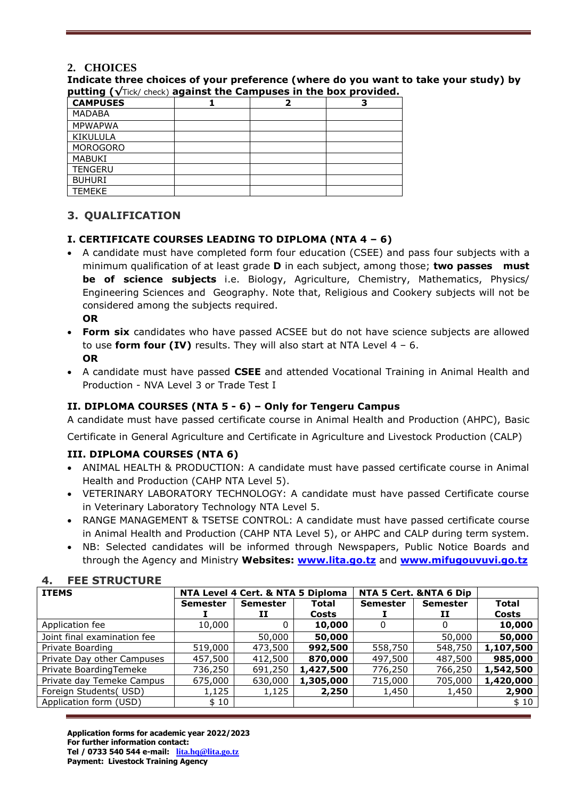# **2. CHOICES**

**Indicate three choices of your preference (where do you want to take your study) by putting (√**Tick/ check) **against the Campuses in the box provided.**

| Patting I A had alcoh, against the eallipases in the box brotheed. |  |  |  |  |  |
|--------------------------------------------------------------------|--|--|--|--|--|
| <b>CAMPUSES</b>                                                    |  |  |  |  |  |
| <b>MADABA</b>                                                      |  |  |  |  |  |
| <b>MPWAPWA</b>                                                     |  |  |  |  |  |
| <b>KIKULULA</b>                                                    |  |  |  |  |  |
| <b>MOROGORO</b>                                                    |  |  |  |  |  |
| <b>MABUKI</b>                                                      |  |  |  |  |  |
| <b>TENGERU</b>                                                     |  |  |  |  |  |
| <b>BUHURI</b>                                                      |  |  |  |  |  |
| <b>TEMEKE</b>                                                      |  |  |  |  |  |

# **3. QUALIFICATION**

### **I. CERTIFICATE COURSES LEADING TO DIPLOMA (NTA 4 – 6)**

- A candidate must have completed form four education (CSEE) and pass four subjects with a minimum qualification of at least grade **D** in each subject, among those; **two passes must be of science subjects** i.e. Biology, Agriculture, Chemistry, Mathematics, Physics/ Engineering Sciences and Geography. Note that, Religious and Cookery subjects will not be considered among the subjects required. **OR**
- **Form six** candidates who have passed ACSEE but do not have science subjects are allowed to use **form four (IV)** results. They will also start at NTA Level 4 – 6. **OR**
- A candidate must have passed **CSEE** and attended Vocational Training in Animal Health and Production - NVA Level 3 or Trade Test I

### **II. DIPLOMA COURSES (NTA 5 - 6) – Only for Tengeru Campus**

A candidate must have passed certificate course in Animal Health and Production (AHPC), Basic

Certificate in General Agriculture and Certificate in Agriculture and Livestock Production (CALP)

### **III. DIPLOMA COURSES (NTA 6)**

- ANIMAL HEALTH & PRODUCTION: A candidate must have passed certificate course in Animal Health and Production (CAHP NTA Level 5).
- VETERINARY LABORATORY TECHNOLOGY: A candidate must have passed Certificate course in Veterinary Laboratory Technology NTA Level 5.
- RANGE MANAGEMENT & TSETSE CONTROL: A candidate must have passed certificate course in Animal Health and Production (CAHP NTA Level 5), or AHPC and CALP during term system.
- NB: Selected candidates will be informed through Newspapers, Public Notice Boards and through the Agency and Ministry **Websites: [www.lita.go.tz](http://www.lita.go.tz/)** and **[www.mifugouvuvi.go.tz](http://www.mifugouvuvi.go.tz/)**

### **4. FEE STRUCTURE**

| <b>ITEMS</b>                | NTA Level 4 Cert. & NTA 5 Diploma |                 |              | NTA 5 Cert. &NTA 6 Dip |                 |              |
|-----------------------------|-----------------------------------|-----------------|--------------|------------------------|-----------------|--------------|
|                             | <b>Semester</b>                   | <b>Semester</b> | <b>Total</b> | <b>Semester</b>        | <b>Semester</b> | <b>Total</b> |
|                             |                                   | 11              | Costs        |                        | п               | Costs        |
| Application fee             | 10,000                            |                 | 10,000       | 0                      | 0               | 10,000       |
| Joint final examination fee |                                   | 50,000          | 50,000       |                        | 50,000          | 50,000       |
| Private Boarding            | 519,000                           | 473,500         | 992,500      | 558,750                | 548,750         | 1,107,500    |
| Private Day other Campuses  | 457,500                           | 412,500         | 870,000      | 497,500                | 487,500         | 985,000      |
| Private BoardingTemeke      | 736,250                           | 691,250         | 1,427,500    | 776,250                | 766,250         | 1,542,500    |
| Private day Temeke Campus   | 675,000                           | 630,000         | 1,305,000    | 715,000                | 705,000         | 1,420,000    |
| Foreign Students(USD)       | 1,125                             | 1,125           | 2,250        | 1,450                  | 1,450           | 2,900        |
| Application form (USD)      | \$10                              |                 |              |                        |                 | \$10         |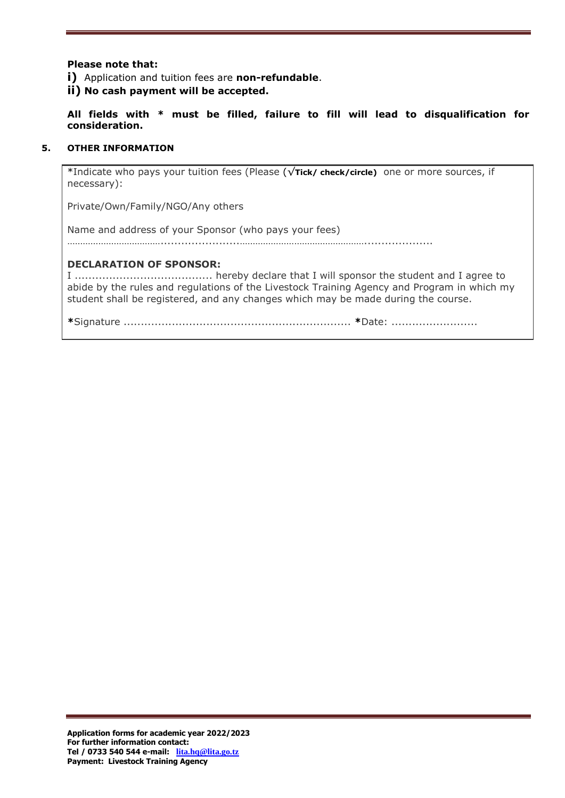#### **Please note that:**

**i)** Application and tuition fees are **non-refundable**.

**ii) No cash payment will be accepted.**

**All fields with \* must be filled, failure to fill will lead to disqualification for consideration.**

#### **5. OTHER INFORMATION**

\*Indicate who pays your tuition fees (Please (√**Tick/ check/circle)** one or more sources, if necessary):

Private/Own/Family/NGO/Any others

Name and address of your Sponsor (who pays your fees)

……………………………….......................…………………………………………....................

#### **DECLARATION OF SPONSOR:**

I ........................................ hereby declare that I will sponsor the student and I agree to abide by the rules and regulations of the Livestock Training Agency and Program in which my student shall be registered, and any changes which may be made during the course.

**\***Signature .................................................................. **\***Date: .........................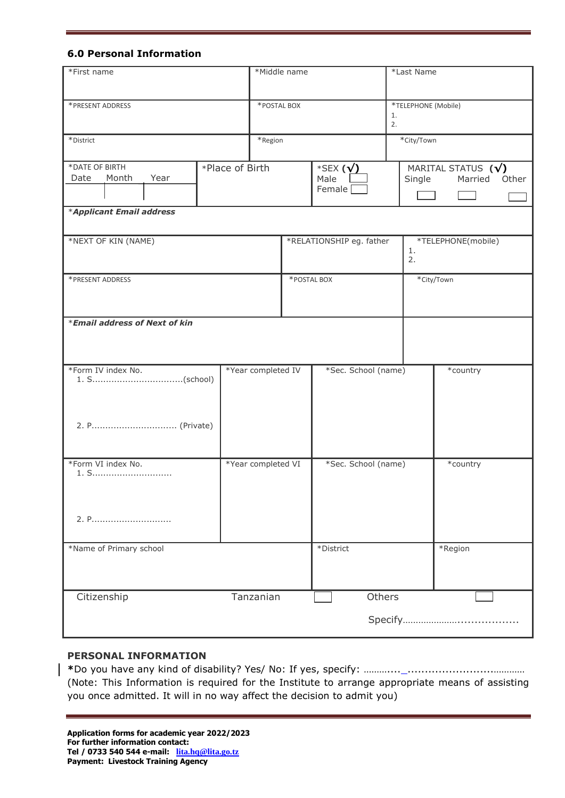#### **6.0 Personal Information**

| *First name                             |  |                    | *Middle name |                                      |          | *Last Name          |                                                |
|-----------------------------------------|--|--------------------|--------------|--------------------------------------|----------|---------------------|------------------------------------------------|
| *PRESENT ADDRESS                        |  |                    | *POSTAL BOX  |                                      | 1.<br>2. | *TELEPHONE (Mobile) |                                                |
| *District                               |  | *Region            |              |                                      |          | *City/Town          |                                                |
| *DATE OF BIRTH<br>Year<br>Date<br>Month |  | *Place of Birth    |              | *SEX $(\sqrt{})$<br>Male<br>Female [ |          | Single              | MARITAL STATUS $(\sqrt{})$<br>Other<br>Married |
| *Applicant Email address                |  |                    |              |                                      |          |                     |                                                |
| *NEXT OF KIN (NAME)                     |  |                    |              | *RELATIONSHIP eg. father             |          | 1.<br>2.            | *TELEPHONE(mobile)                             |
| *PRESENT ADDRESS                        |  | *POSTAL BOX        |              |                                      |          | *City/Town          |                                                |
| *Email address of Next of kin           |  |                    |              |                                      |          |                     |                                                |
| *Form IV index No.                      |  | *Year completed IV |              | *Sec. School (name)                  |          |                     | *country                                       |
|                                         |  |                    |              |                                      |          |                     |                                                |
| *Form VI index No.<br>1. S              |  | *Year completed VI |              | *Sec. School (name)                  |          | *country            |                                                |
| 2. P                                    |  |                    |              |                                      |          |                     |                                                |
| *Name of Primary school                 |  |                    |              | *District                            |          |                     | *Region                                        |
| Citizenship                             |  | Tanzanian          |              |                                      | Others   |                     |                                                |

#### **PERSONAL INFORMATION**

**\***Do you have any kind of disability? Yes/ No: If yes, specify: ……….... .........................………… (Note: This Information is required for the Institute to arrange appropriate means of assisting you once admitted. It will in no way affect the decision to admit you)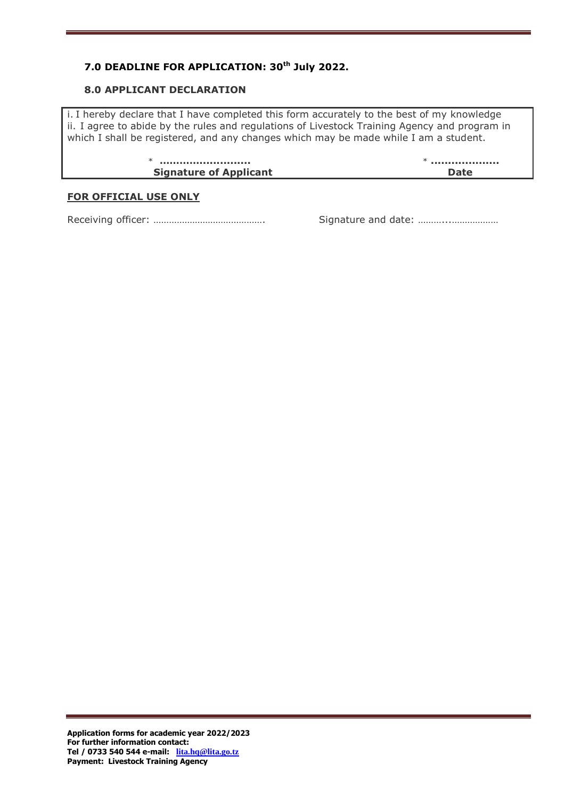# **7.0 DEADLINE FOR APPLICATION: 30th July 2022.**

#### **8.0 APPLICANT DECLARATION**

i. I hereby declare that I have completed this form accurately to the best of my knowledge ii. I agree to abide by the rules and regulations of Livestock Training Agency and program in which I shall be registered, and any changes which may be made while I am a student.

| <b>Signature of Applicant</b> |  |
|-------------------------------|--|

#### **FOR OFFICIAL USE ONLY**

Receiving officer: ……………………………………. Signature and date: ………...………………